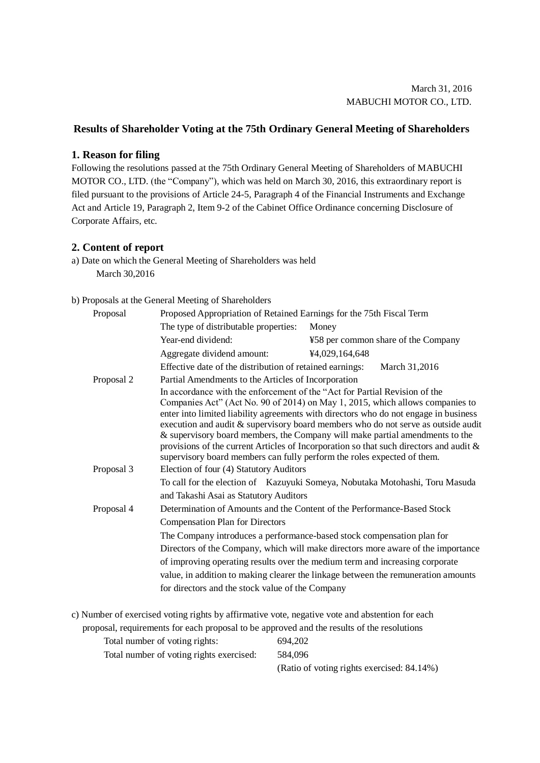## **Results of Shareholder Voting at the 75th Ordinary General Meeting of Shareholders**

## **1. Reason for filing**

Following the resolutions passed at the 75th Ordinary General Meeting of Shareholders of MABUCHI MOTOR CO., LTD. (the "Company"), which was held on March 30, 2016, this extraordinary report is filed pursuant to the provisions of Article 24-5, Paragraph 4 of the Financial Instruments and Exchange Act and Article 19, Paragraph 2, Item 9-2 of the Cabinet Office Ordinance concerning Disclosure of Corporate Affairs, etc.

## **2. Content of report**

a) Date on which the General Meeting of Shareholders was held March 30,2016

## b) Proposals at the General Meeting of Shareholders

| Proposal   | Proposed Appropriation of Retained Earnings for the 75th Fiscal Term                                                                                                                                                                                                                                                                                                                                                                                                                                                                                                                             |                                     |  |  |  |  |  |
|------------|--------------------------------------------------------------------------------------------------------------------------------------------------------------------------------------------------------------------------------------------------------------------------------------------------------------------------------------------------------------------------------------------------------------------------------------------------------------------------------------------------------------------------------------------------------------------------------------------------|-------------------------------------|--|--|--|--|--|
|            | The type of distributable properties:                                                                                                                                                                                                                                                                                                                                                                                                                                                                                                                                                            | Money                               |  |  |  |  |  |
|            | Year-end dividend:                                                                                                                                                                                                                                                                                                                                                                                                                                                                                                                                                                               | ¥58 per common share of the Company |  |  |  |  |  |
|            | Aggregate dividend amount:                                                                                                                                                                                                                                                                                                                                                                                                                                                                                                                                                                       | ¥4,029,164,648                      |  |  |  |  |  |
|            | Effective date of the distribution of retained earnings:<br>March 31,2016                                                                                                                                                                                                                                                                                                                                                                                                                                                                                                                        |                                     |  |  |  |  |  |
| Proposal 2 | Partial Amendments to the Articles of Incorporation                                                                                                                                                                                                                                                                                                                                                                                                                                                                                                                                              |                                     |  |  |  |  |  |
|            | In accordance with the enforcement of the "Act for Partial Revision of the<br>Companies Act" (Act No. 90 of 2014) on May 1, 2015, which allows companies to<br>enter into limited liability agreements with directors who do not engage in business<br>execution and audit & supervisory board members who do not serve as outside audit<br>& supervisory board members, the Company will make partial amendments to the<br>provisions of the current Articles of Incorporation so that such directors and audit $\&$<br>supervisory board members can fully perform the roles expected of them. |                                     |  |  |  |  |  |
| Proposal 3 | Election of four (4) Statutory Auditors                                                                                                                                                                                                                                                                                                                                                                                                                                                                                                                                                          |                                     |  |  |  |  |  |
|            | To call for the election of Kazuyuki Someya, Nobutaka Motohashi, Toru Masuda                                                                                                                                                                                                                                                                                                                                                                                                                                                                                                                     |                                     |  |  |  |  |  |
|            | and Takashi Asai as Statutory Auditors                                                                                                                                                                                                                                                                                                                                                                                                                                                                                                                                                           |                                     |  |  |  |  |  |
| Proposal 4 | Determination of Amounts and the Content of the Performance-Based Stock                                                                                                                                                                                                                                                                                                                                                                                                                                                                                                                          |                                     |  |  |  |  |  |
|            | <b>Compensation Plan for Directors</b>                                                                                                                                                                                                                                                                                                                                                                                                                                                                                                                                                           |                                     |  |  |  |  |  |
|            | The Company introduces a performance-based stock compensation plan for                                                                                                                                                                                                                                                                                                                                                                                                                                                                                                                           |                                     |  |  |  |  |  |
|            | Directors of the Company, which will make directors more aware of the importance                                                                                                                                                                                                                                                                                                                                                                                                                                                                                                                 |                                     |  |  |  |  |  |
|            | of improving operating results over the medium term and increasing corporate                                                                                                                                                                                                                                                                                                                                                                                                                                                                                                                     |                                     |  |  |  |  |  |
|            | value, in addition to making clearer the linkage between the remuneration amounts                                                                                                                                                                                                                                                                                                                                                                                                                                                                                                                |                                     |  |  |  |  |  |
|            | for directors and the stock value of the Company                                                                                                                                                                                                                                                                                                                                                                                                                                                                                                                                                 |                                     |  |  |  |  |  |

| c) Number of exercised voting rights by affirmative vote, negative vote and abstention for each |                                            |  |  |  |  |  |
|-------------------------------------------------------------------------------------------------|--------------------------------------------|--|--|--|--|--|
| proposal, requirements for each proposal to be approved and the results of the resolutions      |                                            |  |  |  |  |  |
| Total number of voting rights:                                                                  | 694.202                                    |  |  |  |  |  |
| Total number of voting rights exercised:                                                        | 584,096                                    |  |  |  |  |  |
|                                                                                                 | (Ratio of voting rights exercised: 84.14%) |  |  |  |  |  |